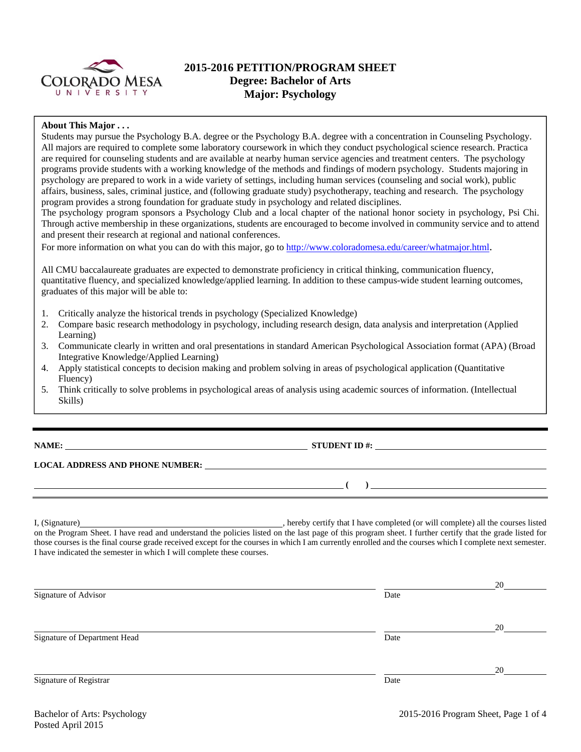

# **2015-2016 PETITION/PROGRAM SHEET Degree: Bachelor of Arts Major: Psychology**

### **About This Major . . .**

Students may pursue the Psychology B.A. degree or the Psychology B.A. degree with a concentration in Counseling Psychology. All majors are required to complete some laboratory coursework in which they conduct psychological science research. Practica are required for counseling students and are available at nearby human service agencies and treatment centers. The psychology programs provide students with a working knowledge of the methods and findings of modern psychology. Students majoring in psychology are prepared to work in a wide variety of settings, including human services (counseling and social work), public affairs, business, sales, criminal justice, and (following graduate study) psychotherapy, teaching and research. The psychology program provides a strong foundation for graduate study in psychology and related disciplines.

The psychology program sponsors a Psychology Club and a local chapter of the national honor society in psychology, Psi Chi. Through active membership in these organizations, students are encouraged to become involved in community service and to attend and present their research at regional and national conferences.

For more information on what you can do with this major, go to http://www.coloradomesa.edu/career/whatmajor.html.

All CMU baccalaureate graduates are expected to demonstrate proficiency in critical thinking, communication fluency, quantitative fluency, and specialized knowledge/applied learning. In addition to these campus-wide student learning outcomes, graduates of this major will be able to:

- 1. Critically analyze the historical trends in psychology (Specialized Knowledge)
- 2. Compare basic research methodology in psychology, including research design, data analysis and interpretation (Applied Learning)
- 3. Communicate clearly in written and oral presentations in standard American Psychological Association format (APA) (Broad Integrative Knowledge/Applied Learning)
- 4. Apply statistical concepts to decision making and problem solving in areas of psychological application (Quantitative Fluency)
- 5. Think critically to solve problems in psychological areas of analysis using academic sources of information. (Intellectual Skills)

**NAME: STUDENT ID #:**

### **LOCAL ADDRESS AND PHONE NUMBER:**

I, (Signature) , hereby certify that I have completed (or will complete) all the courses listed on the Program Sheet. I have read and understand the policies listed on the last page of this program sheet. I further certify that the grade listed for those courses is the final course grade received except for the courses in which I am currently enrolled and the courses which I complete next semester. I have indicated the semester in which I will complete these courses.

|                              |      | 20 |
|------------------------------|------|----|
| Signature of Advisor         | Date |    |
|                              |      | 20 |
| Signature of Department Head | Date |    |
|                              |      | 20 |
| Signature of Registrar       | Date |    |

 **( )**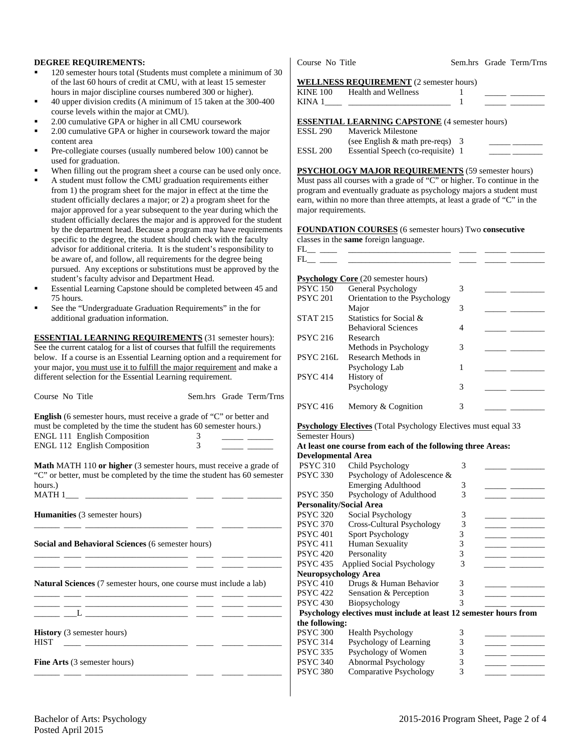#### **DEGREE REQUIREMENTS:**

- 120 semester hours total (Students must complete a minimum of 30 of the last 60 hours of credit at CMU, with at least 15 semester hours in major discipline courses numbered 300 or higher).
- 40 upper division credits (A minimum of 15 taken at the 300-400 course levels within the major at CMU).
- 2.00 cumulative GPA or higher in all CMU coursework
- 2.00 cumulative GPA or higher in coursework toward the major content area
- Pre-collegiate courses (usually numbered below 100) cannot be used for graduation.
- When filling out the program sheet a course can be used only once.
- A student must follow the CMU graduation requirements either from 1) the program sheet for the major in effect at the time the student officially declares a major; or 2) a program sheet for the major approved for a year subsequent to the year during which the student officially declares the major and is approved for the student by the department head. Because a program may have requirements specific to the degree, the student should check with the faculty advisor for additional criteria. It is the student's responsibility to be aware of, and follow, all requirements for the degree being pursued. Any exceptions or substitutions must be approved by the student's faculty advisor and Department Head.
- Essential Learning Capstone should be completed between 45 and 75 hours.
- See the "Undergraduate Graduation Requirements" in the for additional graduation information.

**ESSENTIAL LEARNING REQUIREMENTS** (31 semester hours): See the current catalog for a list of courses that fulfill the requirements below. If a course is an Essential Learning option and a requirement for your major, you must use it to fulfill the major requirement and make a different selection for the Essential Learning requirement.

| Course No Title                                                                                                                                                                                                                |                    | Sem.hrs Grade Term/Trns |
|--------------------------------------------------------------------------------------------------------------------------------------------------------------------------------------------------------------------------------|--------------------|-------------------------|
| <b>English</b> (6 semester hours, must receive a grade of "C" or better and<br>must be completed by the time the student has 60 semester hours.)<br><b>ENGL 111 English Composition</b><br><b>ENGL 112 English Composition</b> | 3<br>$\mathcal{E}$ |                         |
| Math MATH 110 or higher (3 semester hours, must receive a grade of<br>"C" or better, must be completed by the time the student has 60 semester<br>hours.)                                                                      |                    |                         |
| <b>Humanities</b> (3 semester hours)                                                                                                                                                                                           |                    |                         |
| <b>Social and Behavioral Sciences (6 semester hours)</b><br>the control of the control of the control of the control of the control of                                                                                         |                    |                         |
| <b>Natural Sciences</b> (7 semester hours, one course must include a lab)<br><u> 1980 - Antonio Alemania, prima postala de la provincia de la provincia de la provincia de la provincia de la</u>                              |                    |                         |
|                                                                                                                                                                                                                                |                    |                         |
| <b>History</b> (3 semester hours)<br><b>HIST</b><br><u> 1982 - Andrea Albert III, poet e posterior de la provincia de la provincia de la provincia de la provincia de</u>                                                      |                    |                         |
| <b>Fine Arts</b> (3 semester hours)                                                                                                                                                                                            |                    |                         |

Course No Title Sem.hrs Grade Term/Trns

#### **WELLNESS REQUIREMENT** (2 semester hours)

| <b>KINE 100</b> | Health and Wellness                                                        |  |
|-----------------|----------------------------------------------------------------------------|--|
| KINA 1          | the control of the control of the control of the control of the control of |  |
|                 | <b>ESSENTIAL LEARNING CAPSTONE</b> (4 semester hours)                      |  |
| <b>ESSL 290</b> | <b>Maverick Milestone</b>                                                  |  |
|                 | (see English $&$ math pre-reqs) 3                                          |  |
| <b>ESSL 200</b> | Essential Speech (co-requisite) 1                                          |  |

**PSYCHOLOGY MAJOR REQUIREMENTS** (59 semester hours) Must pass all courses with a grade of "C" or higher. To continue in the program and eventually graduate as psychology majors a student must earn, within no more than three attempts, at least a grade of "C" in the major requirements.

| <b>FOUNDATION COURSES</b> (6 semester hours) Two consecutive    |  |  |
|-----------------------------------------------------------------|--|--|
| $\mathbf{1}$ and $\mathbf{1}$ and $\mathbf{1}$ and $\mathbf{1}$ |  |  |

classes in the **same** foreign language.

| FІ |  |  |  |  |
|----|--|--|--|--|
| FІ |  |  |  |  |
|    |  |  |  |  |

| <b>Psychology Core</b> (20 semester hours) |                               |   |  |  |  |  |  |
|--------------------------------------------|-------------------------------|---|--|--|--|--|--|
| <b>PSYC</b> 150                            | General Psychology            | 3 |  |  |  |  |  |
| <b>PSYC 201</b>                            | Orientation to the Psychology |   |  |  |  |  |  |
|                                            | Major                         | 3 |  |  |  |  |  |
| <b>STAT 215</b>                            | Statistics for Social &       |   |  |  |  |  |  |
|                                            | <b>Behavioral Sciences</b>    |   |  |  |  |  |  |
| <b>PSYC 216</b>                            | Research                      |   |  |  |  |  |  |
|                                            | Methods in Psychology         | 3 |  |  |  |  |  |
| <b>PSYC 216L</b>                           | Research Methods in           |   |  |  |  |  |  |
|                                            | Psychology Lab                |   |  |  |  |  |  |
| <b>PSYC 414</b>                            | History of                    |   |  |  |  |  |  |
|                                            | Psychology                    | 3 |  |  |  |  |  |
|                                            |                               |   |  |  |  |  |  |
| <b>PSYC</b> 416                            | Memory & Cognition            | 3 |  |  |  |  |  |
|                                            |                               |   |  |  |  |  |  |

#### **Psychology Electives** (Total Psychology Electives must equal 33 Semester Hours)

| At least one course from each of the following three Areas: |  |
|-------------------------------------------------------------|--|
| Dovelopmental Area                                          |  |

| <b>Developmental Area</b>   |                                                                   |   |  |
|-----------------------------|-------------------------------------------------------------------|---|--|
| <b>PSYC 310</b>             | Child Psychology                                                  | 3 |  |
| <b>PSYC 330</b>             | Psychology of Adolescence &                                       |   |  |
|                             | <b>Emerging Adulthood</b>                                         | 3 |  |
| <b>PSYC 350</b>             | Psychology of Adulthood                                           | 3 |  |
|                             | <b>Personality/Social Area</b>                                    |   |  |
| <b>PSYC 320</b>             | Social Psychology                                                 | 3 |  |
| <b>PSYC 370</b>             | Cross-Cultural Psychology                                         | 3 |  |
| <b>PSYC 401</b>             | <b>Sport Psychology</b>                                           | 3 |  |
| <b>PSYC 411</b>             | Human Sexuality                                                   | 3 |  |
| <b>PSYC 420</b>             | Personality                                                       | 3 |  |
| <b>PSYC 435</b>             | <b>Applied Social Psychology</b>                                  | 3 |  |
| <b>Neuropsychology Area</b> |                                                                   |   |  |
| <b>PSYC 410</b>             | Drugs & Human Behavior                                            | 3 |  |
| <b>PSYC 422</b>             | Sensation & Perception                                            | 3 |  |
| <b>PSYC 430</b>             | Biopsychology                                                     | 3 |  |
|                             | Psychology electives must include at least 12 semester hours from |   |  |
| the following:              |                                                                   |   |  |
| <b>PSYC 300</b>             | <b>Health Psychology</b>                                          | 3 |  |
| <b>PSYC 314</b>             | Psychology of Learning                                            | 3 |  |
| <b>PSYC 335</b>             | Psychology of Women                                               | 3 |  |
| <b>PSYC 340</b>             | Abnormal Psychology                                               | 3 |  |
| <b>PSYC 380</b>             | Comparative Psychology                                            | 3 |  |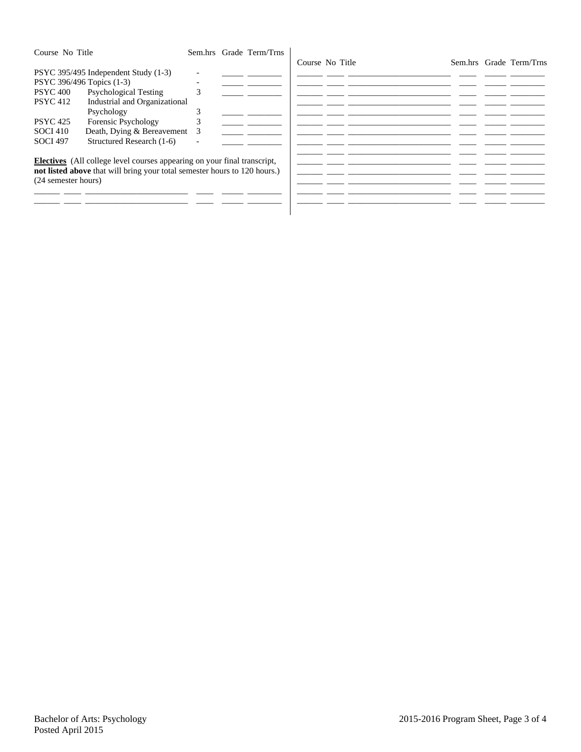| Course No Title                                                                                       |                                                                                                                                                                                    |             | Sem.hrs Grade Term/Trns | Course No Title |  |  | Sem.hrs Grade Term/Trns |
|-------------------------------------------------------------------------------------------------------|------------------------------------------------------------------------------------------------------------------------------------------------------------------------------------|-------------|-------------------------|-----------------|--|--|-------------------------|
| PSYC 396/496 Topics (1-3)<br><b>PSYC 400</b><br><b>PSYC</b> 412<br><b>PSYC</b> 425<br><b>SOCI 410</b> | PSYC 395/495 Independent Study (1-3)<br><b>Psychological Testing</b><br>Industrial and Organizational<br>Psychology<br>Forensic Psychology<br>Death, Dying & Bereavement           | ◠<br>h<br>3 |                         |                 |  |  |                         |
| <b>SOCI 497</b><br>(24 semester hours)                                                                | Structured Research (1-6)<br>Electives (All college level courses appearing on your final transcript,<br>not listed above that will bring your total semester hours to 120 hours.) |             |                         |                 |  |  |                         |